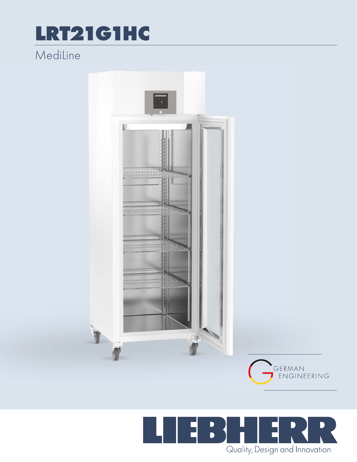## LRT21G1HC

## MediLine